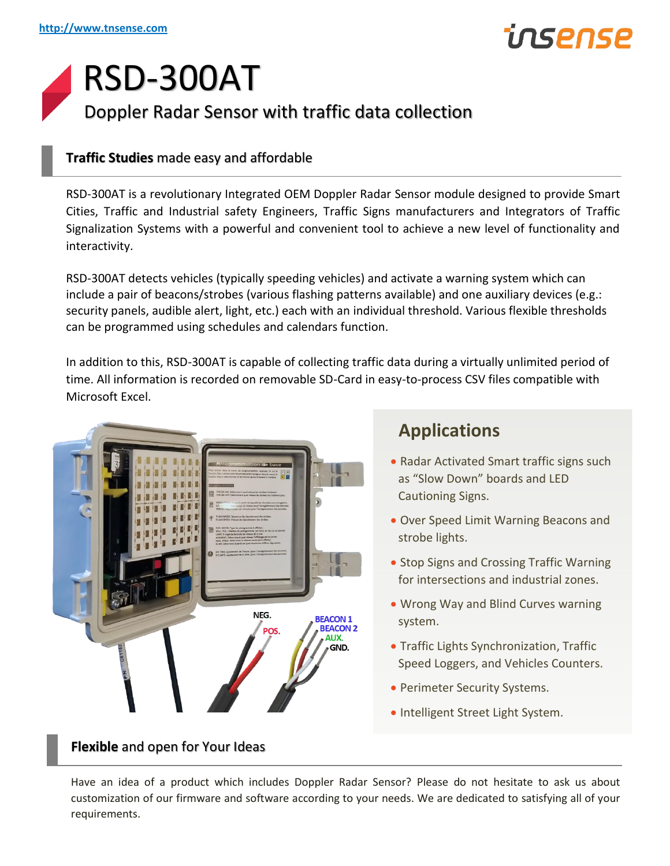## inspnsp

### RSD-300AT Doppler Radar Sensor with traffic data collection

#### **Traffic Studies** made easy and affordable

RSD-300AT is a revolutionary Integrated OEM Doppler Radar Sensor module designed to provide Smart Cities, Traffic and Industrial safety Engineers, Traffic Signs manufacturers and Integrators of Traffic Signalization Systems with a powerful and convenient tool to achieve a new level of functionality and interactivity.

RSD-300AT detects vehicles (typically speeding vehicles) and activate a warning system which can include a pair of beacons/strobes (various flashing patterns available) and one auxiliary devices (e.g.: security panels, audible alert, light, etc.) each with an individual threshold. Various flexible thresholds can be programmed using schedules and calendars function.

In addition to this, RSD-300AT is capable of collecting traffic data during a virtually unlimited period of time. All information is recorded on removable SD-Card in easy-to-process CSV files compatible with Microsoft Excel.



#### **Applications**

- Radar Activated Smart traffic signs such as "Slow Down" boards and LED Cautioning Signs.
- Over Speed Limit Warning Beacons and strobe lights.
- Stop Signs and Crossing Traffic Warning for intersections and industrial zones.
- Wrong Way and Blind Curves warning system.
- Traffic Lights Synchronization, Traffic Speed Loggers, and Vehicles Counters.
- Perimeter Security Systems.
- Intelligent Street Light System.

**Flexible** and open for Your Ideas

Have an idea of a product which includes Doppler Radar Sensor? Please do not hesitate to ask us about customization of our firmware and software according to your needs. We are dedicated to satisfying all of your requirements.